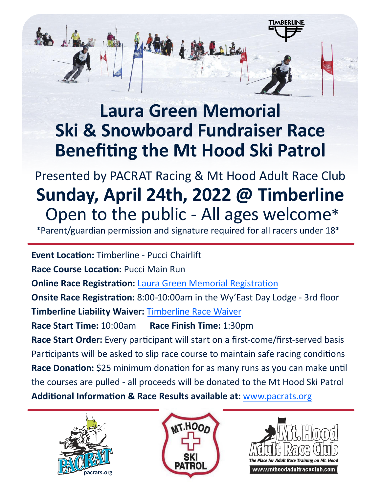## **Laura Green Memorial Ski & Snowboard Fundraiser Race Benefiting the Mt Hood Ski Patrol**

Presented by PACRAT Racing & Mt Hood Adult Race Club **Sunday, April 24th, 2022 @ Timberline** Open to the public - All ages welcome\*

\*Parent/guardian permission and signature required for all racers under 18\*

**Event Location:** Timberline - Pucci Chairlift **Race Course Location:** Pucci Main Run **Online Race Registration:** *[Laura Green Memorial Registration](https://campscui.active.com/orgs/PacratSkiTeam?orglink=camps-registration)* **Onsite Race Registration:** 8:00-10:00am in the Wy'East Day Lodge - 3rd floor **Timberline Liability Waiver:** [Timberline Race Waiver](https://bit.ly/3wDT42o) **Race Start Time:** 10:00am **Race Finish Time:** 1:30pm **Race Start Order:** Every participant will start on a first-come/first-served basis Participants will be asked to slip race course to maintain safe racing conditions **Race Donation:** \$25 minimum donation for as many runs as you can make until the courses are pulled - all proceeds will be donated to the Mt Hood Ski Patrol **Additional Information & Race Results available at:** [www.pacrats.org](https://www.pacrats.org)







TIMBERLINE